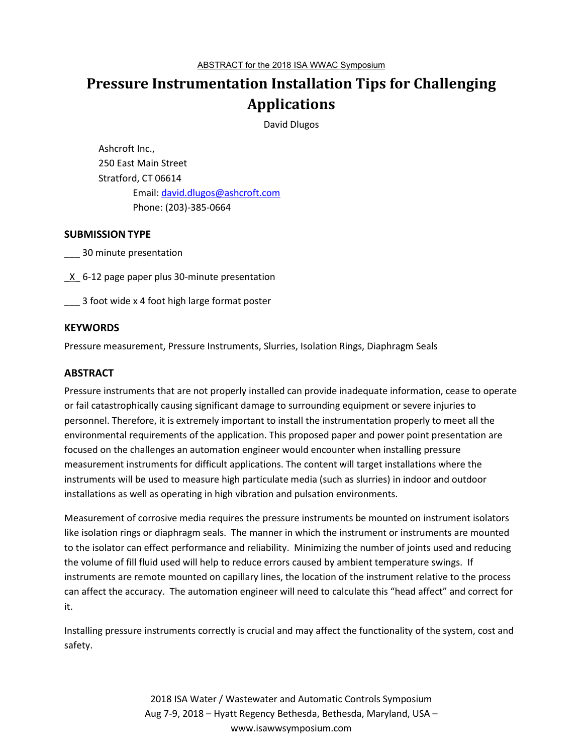# **Pressure Instrumentation Installation Tips for Challenging Applications**

David Dlugos

Ashcroft Inc., 250 East Main Street Stratford, CT 06614 Email: david.dlugos@ashcroft.com Phone: (203)-385-0664

### **SUBMISSION TYPE**

\_\_\_ 30 minute presentation

**K** 6-12 page paper plus 30-minute presentation

\_\_\_ 3 foot wide x 4 foot high large format poster

### **KEYWORDS**

Pressure measurement, Pressure Instruments, Slurries, Isolation Rings, Diaphragm Seals

### **ABSTRACT**

Pressure instruments that are not properly installed can provide inadequate information, cease to operate or fail catastrophically causing significant damage to surrounding equipment or severe injuries to personnel. Therefore, it is extremely important to install the instrumentation properly to meet all the environmental requirements of the application. This proposed paper and power point presentation are focused on the challenges an automation engineer would encounter when installing pressure measurement instruments for difficult applications. The content will target installations where the instruments will be used to measure high particulate media (such as slurries) in indoor and outdoor installations as well as operating in high vibration and pulsation environments.

Measurement of corrosive media requires the pressure instruments be mounted on instrument isolators like isolation rings or diaphragm seals. The manner in which the instrument or instruments are mounted to the isolator can effect performance and reliability. Minimizing the number of joints used and reducing the volume of fill fluid used will help to reduce errors caused by ambient temperature swings. If instruments are remote mounted on capillary lines, the location of the instrument relative to the process can affect the accuracy. The automation engineer will need to calculate this "head affect" and correct for it.

Installing pressure instruments correctly is crucial and may affect the functionality of the system, cost and safety.

> 2018 ISA Water / Wastewater and Automatic Controls Symposium Aug 7-9, 2018 – Hyatt Regency Bethesda, Bethesda, Maryland, USA – www.isawwsymposium.com